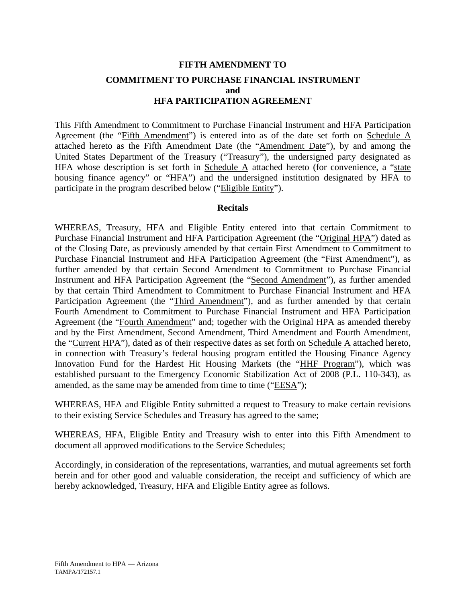# **FIFTH AMENDMENT TO COMMITMENT TO PURCHASE FINANCIAL INSTRUMENT and HFA PARTICIPATION AGREEMENT**

This Fifth Amendment to Commitment to Purchase Financial Instrument and HFA Participation Agreement (the "Fifth Amendment") is entered into as of the date set forth on Schedule A attached hereto as the Fifth Amendment Date (the "Amendment Date"), by and among the United States Department of the Treasury ("Treasury"), the undersigned party designated as HFA whose description is set forth in Schedule  $\overline{A}$  attached hereto (for convenience, a "state housing finance agency" or "HFA") and the undersigned institution designated by HFA to participate in the program described below ("Eligible Entity").

#### **Recitals**

WHEREAS, Treasury, HFA and Eligible Entity entered into that certain Commitment to Purchase Financial Instrument and HFA Participation Agreement (the "Original HPA") dated as of the Closing Date, as previously amended by that certain First Amendment to Commitment to Purchase Financial Instrument and HFA Participation Agreement (the "First Amendment"), as further amended by that certain Second Amendment to Commitment to Purchase Financial Instrument and HFA Participation Agreement (the "Second Amendment"), as further amended by that certain Third Amendment to Commitment to Purchase Financial Instrument and HFA Participation Agreement (the "Third Amendment"), and as further amended by that certain Fourth Amendment to Commitment to Purchase Financial Instrument and HFA Participation Agreement (the "Fourth Amendment" and; together with the Original HPA as amended thereby and by the First Amendment, Second Amendment, Third Amendment and Fourth Amendment, the "Current HPA"), dated as of their respective dates as set forth on Schedule A attached hereto, in connection with Treasury's federal housing program entitled the Housing Finance Agency Innovation Fund for the Hardest Hit Housing Markets (the "HHF Program"), which was established pursuant to the Emergency Economic Stabilization Act of 2008 (P.L. 110-343), as amended, as the same may be amended from time to time ("EESA");

WHEREAS, HFA and Eligible Entity submitted a request to Treasury to make certain revisions to their existing Service Schedules and Treasury has agreed to the same;

WHEREAS, HFA, Eligible Entity and Treasury wish to enter into this Fifth Amendment to document all approved modifications to the Service Schedules;

Accordingly, in consideration of the representations, warranties, and mutual agreements set forth herein and for other good and valuable consideration, the receipt and sufficiency of which are hereby acknowledged, Treasury, HFA and Eligible Entity agree as follows.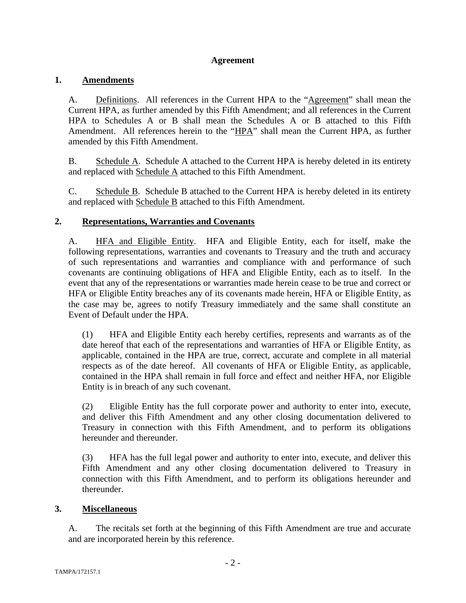# **Agreement**

# **1. Amendments**

A. Definitions. All references in the Current HPA to the "Agreement" shall mean the Current HPA, as further amended by this Fifth Amendment; and all references in the Current HPA to Schedules A or B shall mean the Schedules A or B attached to this Fifth Amendment. All references herein to the "HPA" shall mean the Current HPA, as further amended by this Fifth Amendment.

B. Schedule A. Schedule A attached to the Current HPA is hereby deleted in its entirety and replaced with Schedule A attached to this Fifth Amendment.

C. Schedule B. Schedule B attached to the Current HPA is hereby deleted in its entirety and replaced with Schedule B attached to this Fifth Amendment.

# **2. Representations, Warranties and Covenants**

A. HFA and Eligible Entity. HFA and Eligible Entity, each for itself, make the following representations, warranties and covenants to Treasury and the truth and accuracy of such representations and warranties and compliance with and performance of such covenants are continuing obligations of HFA and Eligible Entity, each as to itself. In the event that any of the representations or warranties made herein cease to be true and correct or HFA or Eligible Entity breaches any of its covenants made herein, HFA or Eligible Entity, as the case may be, agrees to notify Treasury immediately and the same shall constitute an Event of Default under the HPA.

(1) HFA and Eligible Entity each hereby certifies, represents and warrants as of the date hereof that each of the representations and warranties of HFA or Eligible Entity, as applicable, contained in the HPA are true, correct, accurate and complete in all material respects as of the date hereof. All covenants of HFA or Eligible Entity, as applicable, contained in the HPA shall remain in full force and effect and neither HFA, nor Eligible Entity is in breach of any such covenant.

(2) Eligible Entity has the full corporate power and authority to enter into, execute, and deliver this Fifth Amendment and any other closing documentation delivered to Treasury in connection with this Fifth Amendment, and to perform its obligations hereunder and thereunder.

(3) HFA has the full legal power and authority to enter into, execute, and deliver this Fifth Amendment and any other closing documentation delivered to Treasury in connection with this Fifth Amendment, and to perform its obligations hereunder and thereunder.

# **3. Miscellaneous**

A. The recitals set forth at the beginning of this Fifth Amendment are true and accurate and are incorporated herein by this reference.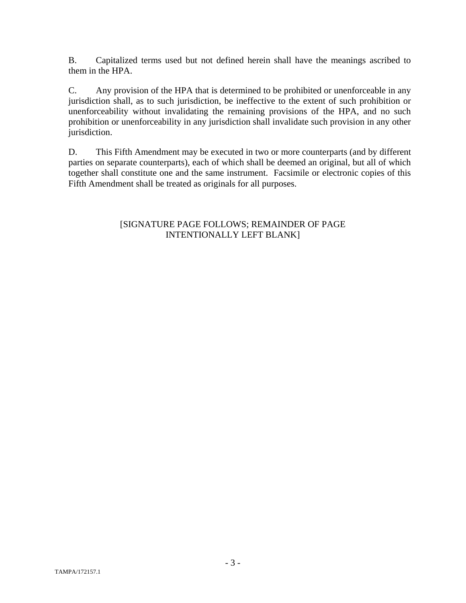B. Capitalized terms used but not defined herein shall have the meanings ascribed to them in the HPA.

C. Any provision of the HPA that is determined to be prohibited or unenforceable in any jurisdiction shall, as to such jurisdiction, be ineffective to the extent of such prohibition or unenforceability without invalidating the remaining provisions of the HPA, and no such prohibition or unenforceability in any jurisdiction shall invalidate such provision in any other jurisdiction.

D. This Fifth Amendment may be executed in two or more counterparts (and by different parties on separate counterparts), each of which shall be deemed an original, but all of which together shall constitute one and the same instrument. Facsimile or electronic copies of this Fifth Amendment shall be treated as originals for all purposes.

# [SIGNATURE PAGE FOLLOWS; REMAINDER OF PAGE INTENTIONALLY LEFT BLANK]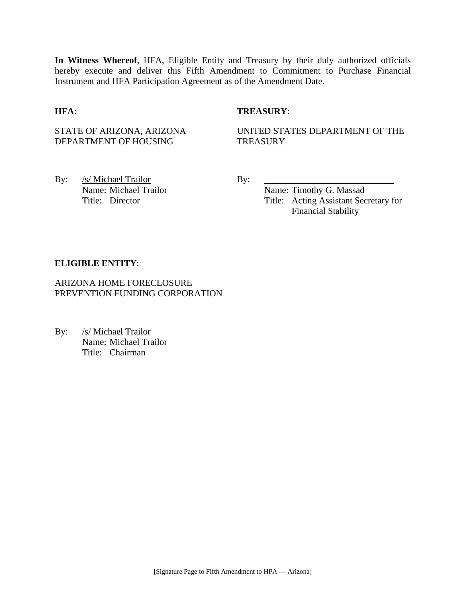**In Witness Whereof**, HFA, Eligible Entity and Treasury by their duly authorized officials hereby execute and deliver this Fifth Amendment to Commitment to Purchase Financial Instrument and HFA Participation Agreement as of the Amendment Date.

#### **HFA**: **TREASURY**:

STATE OF ARIZONA, ARIZONA DEPARTMENT OF HOUSING

UNITED STATES DEPARTMENT OF THE **TREASURY** 

By: /s/ Michael Trailor By: Name: Michael Trailor Name: Timothy G. Massad

Title: Director Title: Acting Assistant Secretary for Financial Stability

#### **ELIGIBLE ENTITY**:

ARIZONA HOME FORECLOSURE PREVENTION FUNDING CORPORATION

By: /s/ Michael Trailor Name: Michael Trailor Title: Chairman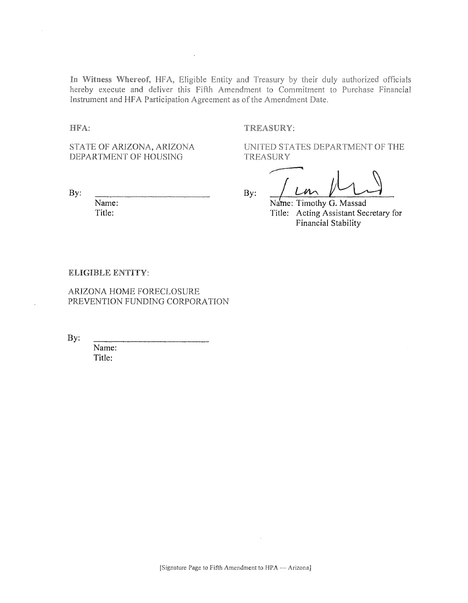In Witness Whereof, HFA, Eligible Entity and Treasury by their duly authorized officials hereby execute and deliver this Fifth Amendment to Commitment to Purchase Financial Instrument and HFA Participation Agreement as of the Amendment Date.

HFA:

#### TREASURY:

**TREASURY** 

STATE OF ARIZONA, ARIZONA DEPARTMENT OF HOUSING

By:

Name: Title:

 $\mathcal{U}$ By:

UNITED STATES DEPARTMENT OF THE

Name: Timothy G. Massad Title: Acting Assistant Secretary for Financial Stability

#### ELIGIBLE ENTITY:

ARIZONA HOME FORECLOSURE PREVENTION FUNDING CORPORATION

By:

Name: Title: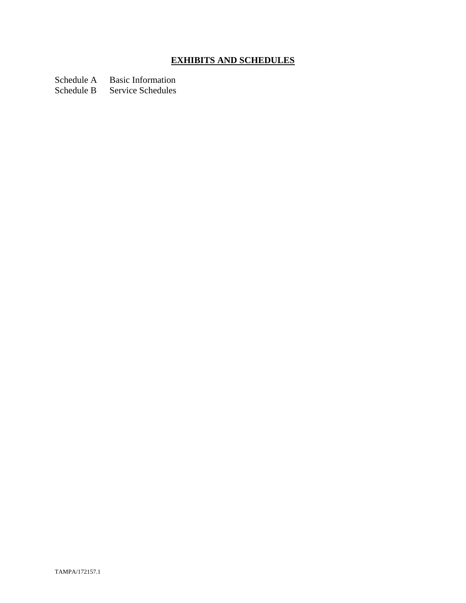# **EXHIBITS AND SCHEDULES**

Schedule A Basic Information

Schedule B Service Schedules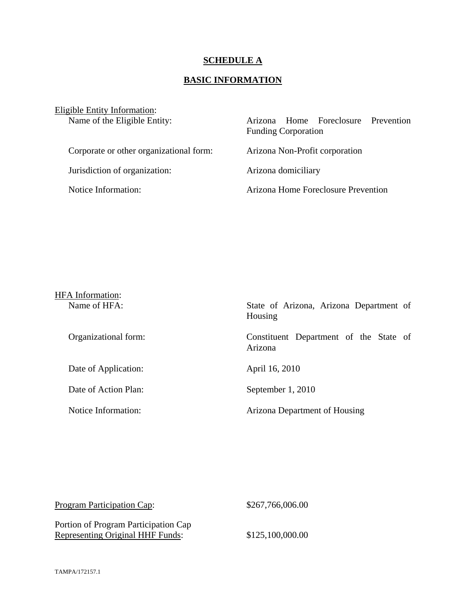# **SCHEDULE A**

# **BASIC INFORMATION**

| Home Foreclosure Prevention<br>Arizona<br><b>Funding Corporation</b> |
|----------------------------------------------------------------------|
| Arizona Non-Profit corporation                                       |
| Arizona domiciliary                                                  |
| Arizona Home Foreclosure Prevention                                  |
|                                                                      |

| <b>HFA</b> Information: |                                                    |
|-------------------------|----------------------------------------------------|
| Name of HFA:            | State of Arizona, Arizona Department of<br>Housing |
| Organizational form:    | Constituent Department of the State of<br>Arizona  |
| Date of Application:    | April 16, 2010                                     |
| Date of Action Plan:    | September 1, 2010                                  |
| Notice Information:     | Arizona Department of Housing                      |

| <b>Program Participation Cap:</b>                                               | \$267,766,006.00 |
|---------------------------------------------------------------------------------|------------------|
| Portion of Program Participation Cap<br><b>Representing Original HHF Funds:</b> | \$125,100,000.00 |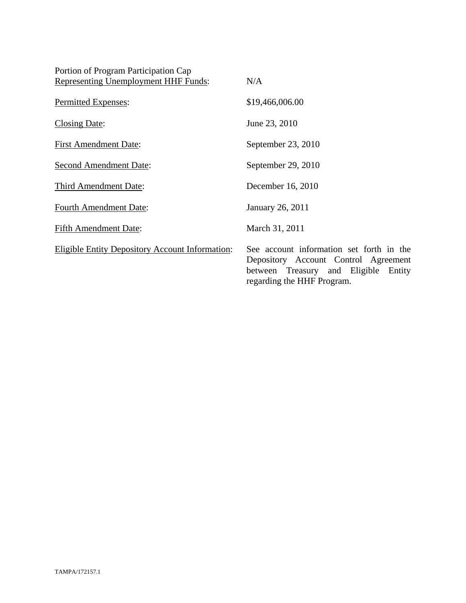| Portion of Program Participation Cap                   |                                                                                                                                                        |
|--------------------------------------------------------|--------------------------------------------------------------------------------------------------------------------------------------------------------|
| <b>Representing Unemployment HHF Funds:</b>            | N/A                                                                                                                                                    |
| Permitted Expenses:                                    | \$19,466,006.00                                                                                                                                        |
| Closing Date:                                          | June 23, 2010                                                                                                                                          |
| <b>First Amendment Date:</b>                           | September 23, 2010                                                                                                                                     |
| <b>Second Amendment Date:</b>                          | September 29, 2010                                                                                                                                     |
| Third Amendment Date:                                  | December 16, 2010                                                                                                                                      |
| <b>Fourth Amendment Date:</b>                          | January 26, 2011                                                                                                                                       |
| <b>Fifth Amendment Date:</b>                           | March 31, 2011                                                                                                                                         |
| <b>Eligible Entity Depository Account Information:</b> | See account information set forth in the<br>Depository Account Control Agreement<br>between Treasury and Eligible Entity<br>regarding the HHF Program. |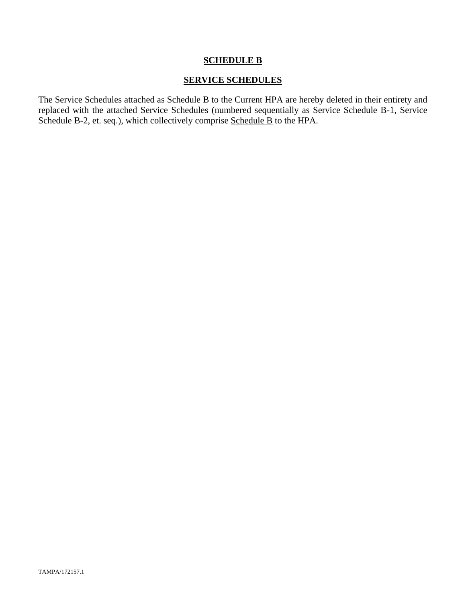# **SCHEDULE B**

### **SERVICE SCHEDULES**

The Service Schedules attached as Schedule B to the Current HPA are hereby deleted in their entirety and replaced with the attached Service Schedules (numbered sequentially as Service Schedule B-1, Service Schedule B-2, et. seq.), which collectively comprise Schedule B to the HPA.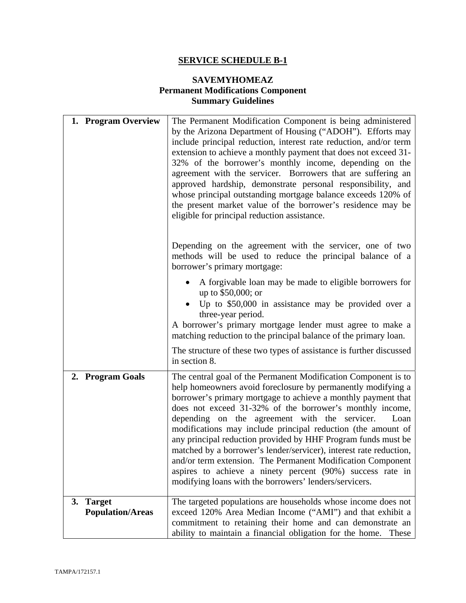# **SERVICE SCHEDULE B-1**

# **SAVEMYHOMEAZ Permanent Modifications Component Summary Guidelines**

| 1. Program Overview                  | The Permanent Modification Component is being administered<br>by the Arizona Department of Housing ("ADOH"). Efforts may<br>include principal reduction, interest rate reduction, and/or term<br>extension to achieve a monthly payment that does not exceed 31-<br>32% of the borrower's monthly income, depending on the<br>agreement with the servicer. Borrowers that are suffering an<br>approved hardship, demonstrate personal responsibility, and<br>whose principal outstanding mortgage balance exceeds 120% of<br>the present market value of the borrower's residence may be<br>eligible for principal reduction assistance.                                                                          |
|--------------------------------------|-------------------------------------------------------------------------------------------------------------------------------------------------------------------------------------------------------------------------------------------------------------------------------------------------------------------------------------------------------------------------------------------------------------------------------------------------------------------------------------------------------------------------------------------------------------------------------------------------------------------------------------------------------------------------------------------------------------------|
|                                      | Depending on the agreement with the servicer, one of two<br>methods will be used to reduce the principal balance of a<br>borrower's primary mortgage:                                                                                                                                                                                                                                                                                                                                                                                                                                                                                                                                                             |
|                                      | A forgivable loan may be made to eligible borrowers for<br>up to \$50,000; or<br>Up to \$50,000 in assistance may be provided over a<br>three-year period.<br>A borrower's primary mortgage lender must agree to make a<br>matching reduction to the principal balance of the primary loan.                                                                                                                                                                                                                                                                                                                                                                                                                       |
|                                      | The structure of these two types of assistance is further discussed<br>in section 8.                                                                                                                                                                                                                                                                                                                                                                                                                                                                                                                                                                                                                              |
| 2. Program Goals                     | The central goal of the Permanent Modification Component is to<br>help homeowners avoid foreclosure by permanently modifying a<br>borrower's primary mortgage to achieve a monthly payment that<br>does not exceed 31-32% of the borrower's monthly income,<br>depending on the agreement with the servicer.<br>Loan<br>modifications may include principal reduction (the amount of<br>any principal reduction provided by HHF Program funds must be<br>matched by a borrower's lender/servicer), interest rate reduction,<br>and/or term extension. The Permanent Modification Component<br>aspires to achieve a ninety percent (90%) success rate in<br>modifying loans with the borrowers' lenders/servicers. |
| 3. Target<br><b>Population/Areas</b> | The targeted populations are households whose income does not<br>exceed 120% Area Median Income ("AMI") and that exhibit a<br>commitment to retaining their home and can demonstrate an<br>ability to maintain a financial obligation for the home.<br>These                                                                                                                                                                                                                                                                                                                                                                                                                                                      |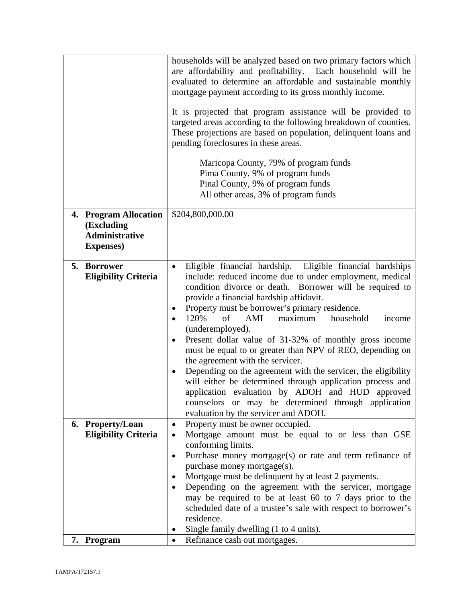|                             | households will be analyzed based on two primary factors which<br>are affordability and profitability. Each household will be<br>evaluated to determine an affordable and sustainable monthly<br>mortgage payment according to its gross monthly income.<br>It is projected that program assistance will be provided to<br>targeted areas according to the following breakdown of counties.<br>These projections are based on population, delinquent loans and<br>pending foreclosures in these areas.<br>Maricopa County, 79% of program funds<br>Pima County, 9% of program funds<br>Pinal County, 9% of program funds<br>All other areas, 3% of program funds |
|-----------------------------|------------------------------------------------------------------------------------------------------------------------------------------------------------------------------------------------------------------------------------------------------------------------------------------------------------------------------------------------------------------------------------------------------------------------------------------------------------------------------------------------------------------------------------------------------------------------------------------------------------------------------------------------------------------|
| 4. Program Allocation       | \$204,800,000.00                                                                                                                                                                                                                                                                                                                                                                                                                                                                                                                                                                                                                                                 |
| (Excluding                  |                                                                                                                                                                                                                                                                                                                                                                                                                                                                                                                                                                                                                                                                  |
| <b>Administrative</b>       |                                                                                                                                                                                                                                                                                                                                                                                                                                                                                                                                                                                                                                                                  |
| <b>Expenses</b> )           |                                                                                                                                                                                                                                                                                                                                                                                                                                                                                                                                                                                                                                                                  |
| 5. Borrower                 | Eligible financial hardship. Eligible financial hardships<br>$\bullet$                                                                                                                                                                                                                                                                                                                                                                                                                                                                                                                                                                                           |
| <b>Eligibility Criteria</b> | include: reduced income due to under employment, medical                                                                                                                                                                                                                                                                                                                                                                                                                                                                                                                                                                                                         |
|                             | condition divorce or death. Borrower will be required to                                                                                                                                                                                                                                                                                                                                                                                                                                                                                                                                                                                                         |
|                             | provide a financial hardship affidavit.                                                                                                                                                                                                                                                                                                                                                                                                                                                                                                                                                                                                                          |
|                             | Property must be borrower's primary residence.                                                                                                                                                                                                                                                                                                                                                                                                                                                                                                                                                                                                                   |
|                             | 120%<br>of<br>AMI<br>household<br>maximum<br>income<br>(underemployed).                                                                                                                                                                                                                                                                                                                                                                                                                                                                                                                                                                                          |
|                             | Present dollar value of 31-32% of monthly gross income<br>٠                                                                                                                                                                                                                                                                                                                                                                                                                                                                                                                                                                                                      |
|                             | must be equal to or greater than NPV of REO, depending on                                                                                                                                                                                                                                                                                                                                                                                                                                                                                                                                                                                                        |
|                             | the agreement with the servicer.                                                                                                                                                                                                                                                                                                                                                                                                                                                                                                                                                                                                                                 |
|                             | Depending on the agreement with the servicer, the eligibility<br>$\bullet$                                                                                                                                                                                                                                                                                                                                                                                                                                                                                                                                                                                       |
|                             | will either be determined through application process and                                                                                                                                                                                                                                                                                                                                                                                                                                                                                                                                                                                                        |
|                             | application evaluation by ADOH and HUD approved<br>counselors or may be determined through application                                                                                                                                                                                                                                                                                                                                                                                                                                                                                                                                                           |
|                             | evaluation by the servicer and ADOH.                                                                                                                                                                                                                                                                                                                                                                                                                                                                                                                                                                                                                             |
| 6. Property/Loan            | Property must be owner occupied.<br>$\bullet$                                                                                                                                                                                                                                                                                                                                                                                                                                                                                                                                                                                                                    |
| <b>Eligibility Criteria</b> | Mortgage amount must be equal to or less than GSE<br>$\bullet$                                                                                                                                                                                                                                                                                                                                                                                                                                                                                                                                                                                                   |
|                             | conforming limits.                                                                                                                                                                                                                                                                                                                                                                                                                                                                                                                                                                                                                                               |
|                             | Purchase money mortgage(s) or rate and term refinance of<br>$\bullet$                                                                                                                                                                                                                                                                                                                                                                                                                                                                                                                                                                                            |
|                             | purchase money mortgage(s).<br>Mortgage must be delinquent by at least 2 payments.                                                                                                                                                                                                                                                                                                                                                                                                                                                                                                                                                                               |
|                             | Depending on the agreement with the servicer, mortgage<br>٠                                                                                                                                                                                                                                                                                                                                                                                                                                                                                                                                                                                                      |
|                             | may be required to be at least 60 to 7 days prior to the                                                                                                                                                                                                                                                                                                                                                                                                                                                                                                                                                                                                         |
|                             | scheduled date of a trustee's sale with respect to borrower's                                                                                                                                                                                                                                                                                                                                                                                                                                                                                                                                                                                                    |
|                             | residence.                                                                                                                                                                                                                                                                                                                                                                                                                                                                                                                                                                                                                                                       |
|                             | Single family dwelling (1 to 4 units).                                                                                                                                                                                                                                                                                                                                                                                                                                                                                                                                                                                                                           |
| 7. Program                  | Refinance cash out mortgages.<br>$\bullet$                                                                                                                                                                                                                                                                                                                                                                                                                                                                                                                                                                                                                       |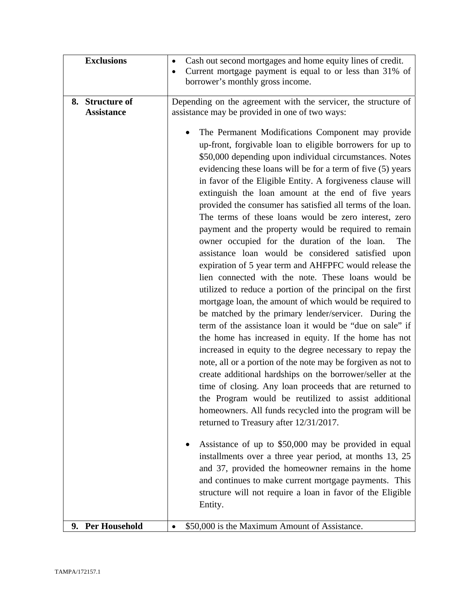| <b>Exclusions</b>          | Cash out second mortgages and home equity lines of credit.                                                        |
|----------------------------|-------------------------------------------------------------------------------------------------------------------|
|                            | Current mortgage payment is equal to or less than 31% of<br>٠                                                     |
|                            | borrower's monthly gross income.                                                                                  |
| 8. Structure of            | Depending on the agreement with the servicer, the structure of                                                    |
| <b>Assistance</b>          | assistance may be provided in one of two ways:                                                                    |
|                            |                                                                                                                   |
|                            | The Permanent Modifications Component may provide                                                                 |
|                            | up-front, forgivable loan to eligible borrowers for up to                                                         |
|                            | \$50,000 depending upon individual circumstances. Notes                                                           |
|                            | evidencing these loans will be for a term of five (5) years                                                       |
|                            | in favor of the Eligible Entity. A forgiveness clause will<br>extinguish the loan amount at the end of five years |
|                            | provided the consumer has satisfied all terms of the loan.                                                        |
|                            | The terms of these loans would be zero interest, zero                                                             |
|                            | payment and the property would be required to remain                                                              |
|                            | owner occupied for the duration of the loan.<br>The                                                               |
|                            | assistance loan would be considered satisfied upon                                                                |
|                            | expiration of 5 year term and AHFPFC would release the                                                            |
|                            | lien connected with the note. These loans would be                                                                |
|                            | utilized to reduce a portion of the principal on the first                                                        |
|                            | mortgage loan, the amount of which would be required to                                                           |
|                            | be matched by the primary lender/servicer. During the                                                             |
|                            | term of the assistance loan it would be "due on sale" if                                                          |
|                            | the home has increased in equity. If the home has not                                                             |
|                            | increased in equity to the degree necessary to repay the                                                          |
|                            | note, all or a portion of the note may be forgiven as not to                                                      |
|                            | create additional hardships on the borrower/seller at the                                                         |
|                            | time of closing. Any loan proceeds that are returned to                                                           |
|                            | the Program would be reutilized to assist additional                                                              |
|                            | homeowners. All funds recycled into the program will be                                                           |
|                            | returned to Treasury after 12/31/2017.                                                                            |
|                            | Assistance of up to \$50,000 may be provided in equal                                                             |
|                            | installments over a three year period, at months 13, 25                                                           |
|                            | and 37, provided the homeowner remains in the home                                                                |
|                            | and continues to make current mortgage payments. This                                                             |
|                            | structure will not require a loan in favor of the Eligible                                                        |
|                            | Entity.                                                                                                           |
| <b>Per Household</b><br>9. | \$50,000 is the Maximum Amount of Assistance.                                                                     |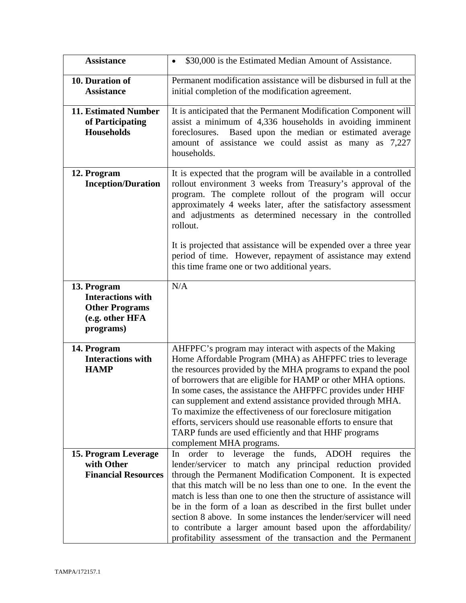| <b>Assistance</b>                                                                                | \$30,000 is the Estimated Median Amount of Assistance.<br>$\bullet$                                                                                                                                                                                                                                                                                                                                                                                                                                                                                                                                         |
|--------------------------------------------------------------------------------------------------|-------------------------------------------------------------------------------------------------------------------------------------------------------------------------------------------------------------------------------------------------------------------------------------------------------------------------------------------------------------------------------------------------------------------------------------------------------------------------------------------------------------------------------------------------------------------------------------------------------------|
| 10. Duration of<br><b>Assistance</b>                                                             | Permanent modification assistance will be disbursed in full at the<br>initial completion of the modification agreement.                                                                                                                                                                                                                                                                                                                                                                                                                                                                                     |
| <b>11. Estimated Number</b><br>of Participating<br><b>Households</b>                             | It is anticipated that the Permanent Modification Component will<br>assist a minimum of 4,336 households in avoiding imminent<br>Based upon the median or estimated average<br>foreclosures.<br>amount of assistance we could assist as many as 7,227<br>households.                                                                                                                                                                                                                                                                                                                                        |
| 12. Program<br><b>Inception/Duration</b>                                                         | It is expected that the program will be available in a controlled<br>rollout environment 3 weeks from Treasury's approval of the<br>program. The complete rollout of the program will occur<br>approximately 4 weeks later, after the satisfactory assessment<br>and adjustments as determined necessary in the controlled<br>rollout.<br>It is projected that assistance will be expended over a three year<br>period of time. However, repayment of assistance may extend<br>this time frame one or two additional years.                                                                                 |
| 13. Program<br><b>Interactions with</b><br><b>Other Programs</b><br>(e.g. other HFA<br>programs) | N/A                                                                                                                                                                                                                                                                                                                                                                                                                                                                                                                                                                                                         |
| 14. Program<br><b>Interactions with</b><br><b>HAMP</b>                                           | AHFPFC's program may interact with aspects of the Making<br>Home Affordable Program (MHA) as AHFPFC tries to leverage<br>the resources provided by the MHA programs to expand the pool<br>of borrowers that are eligible for HAMP or other MHA options.<br>In some cases, the assistance the AHFPFC provides under HHF<br>can supplement and extend assistance provided through MHA.<br>To maximize the effectiveness of our foreclosure mitigation<br>efforts, servicers should use reasonable efforts to ensure that<br>TARP funds are used efficiently and that HHF programs<br>complement MHA programs. |
| 15. Program Leverage<br>with Other<br><b>Financial Resources</b>                                 | to leverage the funds, ADOH requires<br>In<br>order<br>the<br>lender/servicer to match any principal reduction provided<br>through the Permanent Modification Component. It is expected<br>that this match will be no less than one to one. In the event the<br>match is less than one to one then the structure of assistance will<br>be in the form of a loan as described in the first bullet under<br>section 8 above. In some instances the lender/servicer will need<br>to contribute a larger amount based upon the affordability/<br>profitability assessment of the transaction and the Permanent  |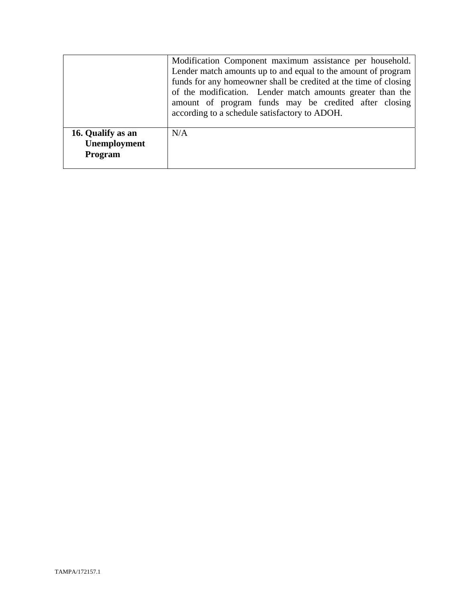|                                              | Modification Component maximum assistance per household.<br>Lender match amounts up to and equal to the amount of program<br>funds for any homeowner shall be credited at the time of closing<br>of the modification. Lender match amounts greater than the<br>amount of program funds may be credited after closing<br>according to a schedule satisfactory to ADOH. |  |
|----------------------------------------------|-----------------------------------------------------------------------------------------------------------------------------------------------------------------------------------------------------------------------------------------------------------------------------------------------------------------------------------------------------------------------|--|
| 16. Qualify as an<br>Unemployment<br>Program | N/A                                                                                                                                                                                                                                                                                                                                                                   |  |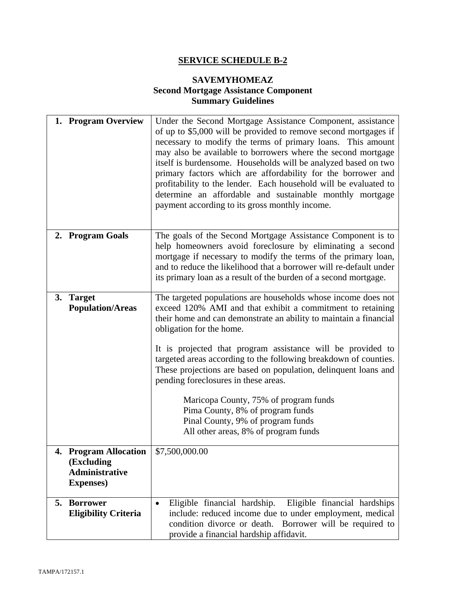# **SERVICE SCHEDULE B-2**

# **SAVEMYHOMEAZ Second Mortgage Assistance Component Summary Guidelines**

|    | 1. Program Overview                                                               | Under the Second Mortgage Assistance Component, assistance<br>of up to \$5,000 will be provided to remove second mortgages if<br>necessary to modify the terms of primary loans. This amount<br>may also be available to borrowers where the second mortgage<br>itself is burdensome. Households will be analyzed based on two<br>primary factors which are affordability for the borrower and<br>profitability to the lender. Each household will be evaluated to<br>determine an affordable and sustainable monthly mortgage<br>payment according to its gross monthly income.                                                     |
|----|-----------------------------------------------------------------------------------|--------------------------------------------------------------------------------------------------------------------------------------------------------------------------------------------------------------------------------------------------------------------------------------------------------------------------------------------------------------------------------------------------------------------------------------------------------------------------------------------------------------------------------------------------------------------------------------------------------------------------------------|
|    | 2. Program Goals                                                                  | The goals of the Second Mortgage Assistance Component is to<br>help homeowners avoid foreclosure by eliminating a second<br>mortgage if necessary to modify the terms of the primary loan,<br>and to reduce the likelihood that a borrower will re-default under<br>its primary loan as a result of the burden of a second mortgage.                                                                                                                                                                                                                                                                                                 |
| 3. | <b>Target</b><br><b>Population/Areas</b>                                          | The targeted populations are households whose income does not<br>exceed 120% AMI and that exhibit a commitment to retaining<br>their home and can demonstrate an ability to maintain a financial<br>obligation for the home.<br>It is projected that program assistance will be provided to<br>targeted areas according to the following breakdown of counties.<br>These projections are based on population, delinquent loans and<br>pending foreclosures in these areas.<br>Maricopa County, 75% of program funds<br>Pima County, 8% of program funds<br>Pinal County, 9% of program funds<br>All other areas, 8% of program funds |
|    | 4. Program Allocation<br>(Excluding<br><b>Administrative</b><br><b>Expenses</b> ) | \$7,500,000.00                                                                                                                                                                                                                                                                                                                                                                                                                                                                                                                                                                                                                       |
| 5. | <b>Borrower</b><br><b>Eligibility Criteria</b>                                    | Eligible financial hardships<br>Eligible financial hardship.<br>$\bullet$<br>include: reduced income due to under employment, medical<br>condition divorce or death.<br>Borrower will be required to<br>provide a financial hardship affidavit.                                                                                                                                                                                                                                                                                                                                                                                      |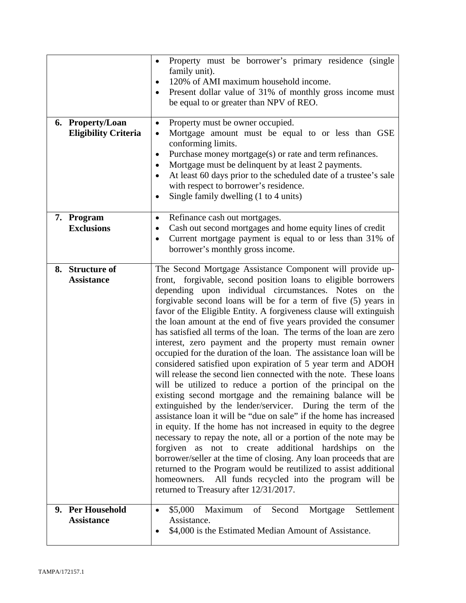| 6. Property/Loan<br><b>Eligibility Criteria</b> | Property must be borrower's primary residence (single<br>family unit).<br>120% of AMI maximum household income.<br>$\bullet$<br>Present dollar value of 31% of monthly gross income must<br>$\bullet$<br>be equal to or greater than NPV of REO.<br>Property must be owner occupied.<br>$\bullet$<br>Mortgage amount must be equal to or less than GSE<br>$\bullet$<br>conforming limits.<br>Purchase money mortgage(s) or rate and term refinances.<br>$\bullet$<br>Mortgage must be delinquent by at least 2 payments.<br>٠<br>At least 60 days prior to the scheduled date of a trustee's sale<br>$\bullet$<br>with respect to borrower's residence.<br>Single family dwelling (1 to 4 units)                                                                                                                                                                                                                                                                                                                                                                                                                                                                                                                                                                                                                                                                                                                                                                     |
|-------------------------------------------------|----------------------------------------------------------------------------------------------------------------------------------------------------------------------------------------------------------------------------------------------------------------------------------------------------------------------------------------------------------------------------------------------------------------------------------------------------------------------------------------------------------------------------------------------------------------------------------------------------------------------------------------------------------------------------------------------------------------------------------------------------------------------------------------------------------------------------------------------------------------------------------------------------------------------------------------------------------------------------------------------------------------------------------------------------------------------------------------------------------------------------------------------------------------------------------------------------------------------------------------------------------------------------------------------------------------------------------------------------------------------------------------------------------------------------------------------------------------------|
| 7. Program<br><b>Exclusions</b>                 | Refinance cash out mortgages.<br>$\bullet$<br>Cash out second mortgages and home equity lines of credit<br>٠<br>Current mortgage payment is equal to or less than 31% of<br>$\bullet$<br>borrower's monthly gross income.                                                                                                                                                                                                                                                                                                                                                                                                                                                                                                                                                                                                                                                                                                                                                                                                                                                                                                                                                                                                                                                                                                                                                                                                                                            |
| 8. Structure of<br><b>Assistance</b>            | The Second Mortgage Assistance Component will provide up-<br>front, forgivable, second position loans to eligible borrowers<br>depending upon individual circumstances. Notes on the<br>forgivable second loans will be for a term of five (5) years in<br>favor of the Eligible Entity. A forgiveness clause will extinguish<br>the loan amount at the end of five years provided the consumer<br>has satisfied all terms of the loan. The terms of the loan are zero<br>interest, zero payment and the property must remain owner<br>occupied for the duration of the loan. The assistance loan will be<br>considered satisfied upon expiration of 5 year term and ADOH<br>will release the second lien connected with the note. These loans<br>will be utilized to reduce a portion of the principal on the<br>existing second mortgage and the remaining balance will be<br>extinguished by the lender/servicer. During the term of the<br>assistance loan it will be "due on sale" if the home has increased<br>in equity. If the home has not increased in equity to the degree<br>necessary to repay the note, all or a portion of the note may be<br>forgiven as not to create additional hardships on the<br>borrower/seller at the time of closing. Any loan proceeds that are<br>returned to the Program would be reutilized to assist additional<br>All funds recycled into the program will be<br>homeowners.<br>returned to Treasury after 12/31/2017. |
| 9. Per Household<br><b>Assistance</b>           | \$5,000<br>Settlement<br>Maximum<br>Second<br>Mortgage<br>of<br>$\bullet$<br>Assistance.<br>\$4,000 is the Estimated Median Amount of Assistance.                                                                                                                                                                                                                                                                                                                                                                                                                                                                                                                                                                                                                                                                                                                                                                                                                                                                                                                                                                                                                                                                                                                                                                                                                                                                                                                    |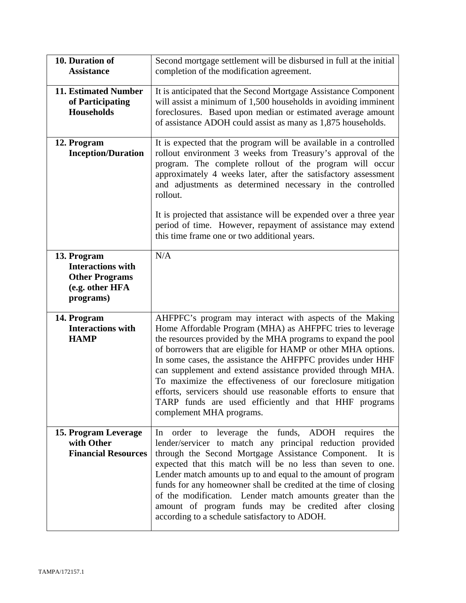| 10. Duration of<br><b>Assistance</b>                                                             | Second mortgage settlement will be disbursed in full at the initial<br>completion of the modification agreement.                                                                                                                                                                                                                                                                                                                                                                                                                                                                                            |
|--------------------------------------------------------------------------------------------------|-------------------------------------------------------------------------------------------------------------------------------------------------------------------------------------------------------------------------------------------------------------------------------------------------------------------------------------------------------------------------------------------------------------------------------------------------------------------------------------------------------------------------------------------------------------------------------------------------------------|
| <b>11. Estimated Number</b><br>of Participating<br><b>Households</b>                             | It is anticipated that the Second Mortgage Assistance Component<br>will assist a minimum of 1,500 households in avoiding imminent<br>foreclosures. Based upon median or estimated average amount<br>of assistance ADOH could assist as many as 1,875 households.                                                                                                                                                                                                                                                                                                                                            |
| 12. Program<br><b>Inception/Duration</b>                                                         | It is expected that the program will be available in a controlled<br>rollout environment 3 weeks from Treasury's approval of the<br>program. The complete rollout of the program will occur<br>approximately 4 weeks later, after the satisfactory assessment<br>and adjustments as determined necessary in the controlled<br>rollout.                                                                                                                                                                                                                                                                      |
|                                                                                                  | It is projected that assistance will be expended over a three year<br>period of time. However, repayment of assistance may extend<br>this time frame one or two additional years.                                                                                                                                                                                                                                                                                                                                                                                                                           |
| 13. Program<br><b>Interactions with</b><br><b>Other Programs</b><br>(e.g. other HFA<br>programs) | N/A                                                                                                                                                                                                                                                                                                                                                                                                                                                                                                                                                                                                         |
| 14. Program<br><b>Interactions with</b><br><b>HAMP</b>                                           | AHFPFC's program may interact with aspects of the Making<br>Home Affordable Program (MHA) as AHFPFC tries to leverage<br>the resources provided by the MHA programs to expand the pool<br>of borrowers that are eligible for HAMP or other MHA options.<br>In some cases, the assistance the AHFPFC provides under HHF<br>can supplement and extend assistance provided through MHA.<br>To maximize the effectiveness of our foreclosure mitigation<br>efforts, servicers should use reasonable efforts to ensure that<br>TARP funds are used efficiently and that HHF programs<br>complement MHA programs. |
| 15. Program Leverage<br>with Other<br><b>Financial Resources</b>                                 | order to leverage the funds, ADOH requires the<br>In<br>lender/servicer to match any principal reduction provided<br>through the Second Mortgage Assistance Component.<br>It is<br>expected that this match will be no less than seven to one.<br>Lender match amounts up to and equal to the amount of program<br>funds for any homeowner shall be credited at the time of closing<br>of the modification. Lender match amounts greater than the<br>amount of program funds may be credited after closing<br>according to a schedule satisfactory to ADOH.                                                 |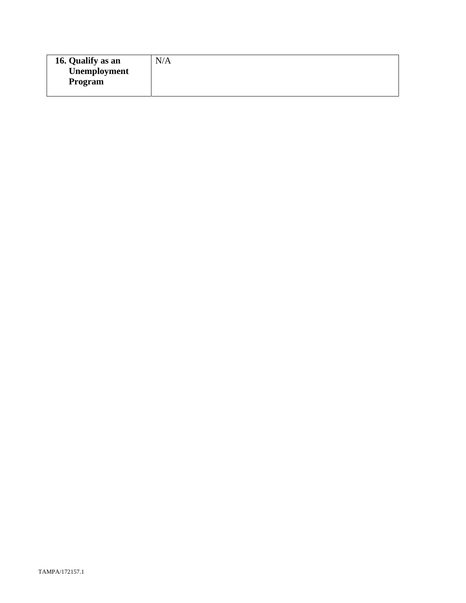| 16. Qualify as an | N/A |
|-------------------|-----|
| Unemployment      |     |
| Program           |     |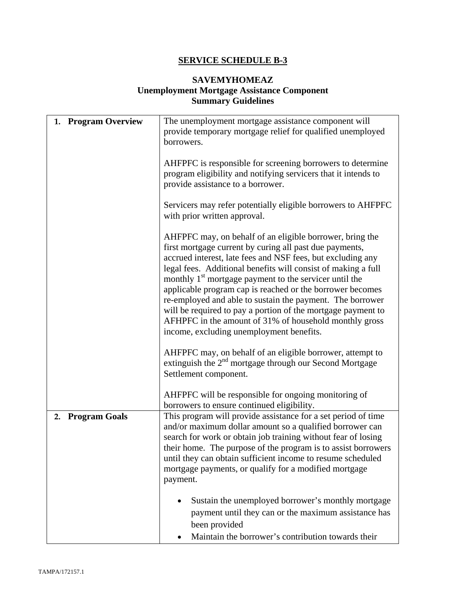# **SERVICE SCHEDULE B-3**

# **SAVEMYHOMEAZ Unemployment Mortgage Assistance Component Summary Guidelines**

| <b>Program Overview</b><br>1. | The unemployment mortgage assistance component will<br>provide temporary mortgage relief for qualified unemployed<br>borrowers.                                                                                                                                                                                                                                                                                                                                                                                                                                                                                           |
|-------------------------------|---------------------------------------------------------------------------------------------------------------------------------------------------------------------------------------------------------------------------------------------------------------------------------------------------------------------------------------------------------------------------------------------------------------------------------------------------------------------------------------------------------------------------------------------------------------------------------------------------------------------------|
|                               | AHFPFC is responsible for screening borrowers to determine<br>program eligibility and notifying servicers that it intends to<br>provide assistance to a borrower.                                                                                                                                                                                                                                                                                                                                                                                                                                                         |
|                               | Servicers may refer potentially eligible borrowers to AHFPFC<br>with prior written approval.                                                                                                                                                                                                                                                                                                                                                                                                                                                                                                                              |
|                               | AHFPFC may, on behalf of an eligible borrower, bring the<br>first mortgage current by curing all past due payments,<br>accrued interest, late fees and NSF fees, but excluding any<br>legal fees. Additional benefits will consist of making a full<br>monthly 1 <sup>st</sup> mortgage payment to the servicer until the<br>applicable program cap is reached or the borrower becomes<br>re-employed and able to sustain the payment. The borrower<br>will be required to pay a portion of the mortgage payment to<br>AFHPFC in the amount of 31% of household monthly gross<br>income, excluding unemployment benefits. |
|                               | AHFPFC may, on behalf of an eligible borrower, attempt to<br>extinguish the $2nd$ mortgage through our Second Mortgage<br>Settlement component.                                                                                                                                                                                                                                                                                                                                                                                                                                                                           |
|                               | AHFPFC will be responsible for ongoing monitoring of<br>borrowers to ensure continued eligibility.                                                                                                                                                                                                                                                                                                                                                                                                                                                                                                                        |
| 2. Program Goals              | This program will provide assistance for a set period of time<br>and/or maximum dollar amount so a qualified borrower can<br>search for work or obtain job training without fear of losing<br>their home. The purpose of the program is to assist borrowers<br>until they can obtain sufficient income to resume scheduled<br>mortgage payments, or qualify for a modified mortgage<br>payment.                                                                                                                                                                                                                           |
|                               | Sustain the unemployed borrower's monthly mortgage<br>$\bullet$<br>payment until they can or the maximum assistance has<br>been provided<br>Maintain the borrower's contribution towards their<br>٠                                                                                                                                                                                                                                                                                                                                                                                                                       |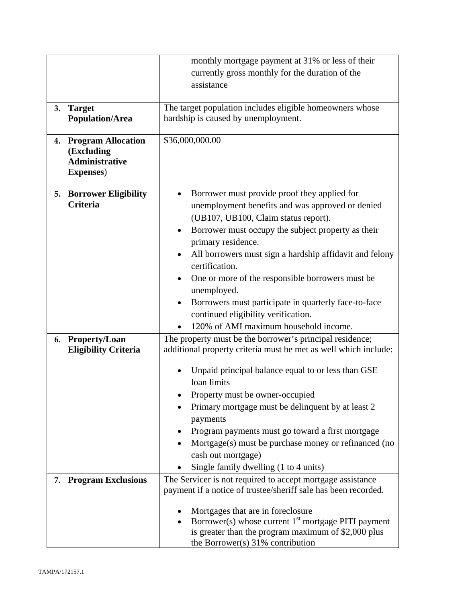|    |                                                                                   | monthly mortgage payment at 31% or less of their                                                |
|----|-----------------------------------------------------------------------------------|-------------------------------------------------------------------------------------------------|
|    |                                                                                   | currently gross monthly for the duration of the                                                 |
|    |                                                                                   | assistance                                                                                      |
|    |                                                                                   |                                                                                                 |
| 3. | <b>Target</b><br><b>Population/Area</b>                                           | The target population includes eligible homeowners whose<br>hardship is caused by unemployment. |
|    |                                                                                   |                                                                                                 |
|    | 4. Program Allocation<br>(Excluding<br><b>Administrative</b><br><b>Expenses</b> ) | \$36,000,000.00                                                                                 |
| 5. | <b>Borrower Eligibility</b>                                                       | Borrower must provide proof they applied for<br>$\bullet$                                       |
|    | <b>Criteria</b>                                                                   | unemployment benefits and was approved or denied                                                |
|    |                                                                                   | (UB107, UB100, Claim status report).                                                            |
|    |                                                                                   | Borrower must occupy the subject property as their<br>$\bullet$                                 |
|    |                                                                                   | primary residence.                                                                              |
|    |                                                                                   | All borrowers must sign a hardship affidavit and felony<br>$\bullet$                            |
|    |                                                                                   | certification.                                                                                  |
|    |                                                                                   | One or more of the responsible borrowers must be.<br>$\bullet$                                  |
|    |                                                                                   | unemployed.                                                                                     |
|    |                                                                                   | Borrowers must participate in quarterly face-to-face<br>$\bullet$                               |
|    |                                                                                   | continued eligibility verification.                                                             |
|    |                                                                                   | 120% of AMI maximum household income.                                                           |
| 6. | <b>Property/Loan</b>                                                              | The property must be the borrower's principal residence;                                        |
|    | <b>Eligibility Criteria</b>                                                       | additional property criteria must be met as well which include:                                 |
|    |                                                                                   | Unpaid principal balance equal to or less than GSE                                              |
|    |                                                                                   | loan limits                                                                                     |
|    |                                                                                   | Property must be owner-occupied                                                                 |
|    |                                                                                   | Primary mortgage must be delinquent by at least 2                                               |
|    |                                                                                   | payments                                                                                        |
|    |                                                                                   | Program payments must go toward a first mortgage                                                |
|    |                                                                                   | Mortgage(s) must be purchase money or refinanced (no                                            |
|    |                                                                                   | cash out mortgage)                                                                              |
|    |                                                                                   | Single family dwelling (1 to 4 units)                                                           |
|    | 7. Program Exclusions                                                             | The Servicer is not required to accept mortgage assistance                                      |
|    |                                                                                   | payment if a notice of trustee/sheriff sale has been recorded.                                  |
|    |                                                                                   |                                                                                                 |
|    |                                                                                   | Mortgages that are in foreclosure<br>Borrower(s) whose current $1st$ mortgage PITI payment      |
|    |                                                                                   | is greater than the program maximum of \$2,000 plus                                             |
|    |                                                                                   | the Borrower(s) $31\%$ contribution                                                             |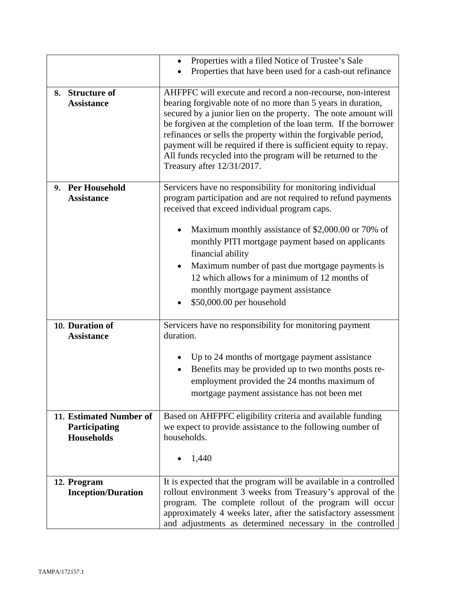|                                                               | Properties with a filed Notice of Trustee's Sale<br>$\bullet$<br>Properties that have been used for a cash-out refinance                                                                                                                                                                                                                                                                                                                                                                                       |
|---------------------------------------------------------------|----------------------------------------------------------------------------------------------------------------------------------------------------------------------------------------------------------------------------------------------------------------------------------------------------------------------------------------------------------------------------------------------------------------------------------------------------------------------------------------------------------------|
| <b>Structure of</b><br>8.<br><b>Assistance</b>                | AHFPFC will execute and record a non-recourse, non-interest<br>bearing forgivable note of no more than 5 years in duration,<br>secured by a junior lien on the property. The note amount will<br>be forgiven at the completion of the loan term. If the borrower<br>refinances or sells the property within the forgivable period,<br>payment will be required if there is sufficient equity to repay.<br>All funds recycled into the program will be returned to the<br>Treasury after 12/31/2017.            |
| 9. Per Household<br><b>Assistance</b>                         | Servicers have no responsibility for monitoring individual<br>program participation and are not required to refund payments<br>received that exceed individual program caps.<br>Maximum monthly assistance of \$2,000.00 or 70% of<br>monthly PITI mortgage payment based on applicants<br>financial ability<br>Maximum number of past due mortgage payments is<br>$\bullet$<br>12 which allows for a minimum of 12 months of<br>monthly mortgage payment assistance<br>\$50,000.00 per household<br>$\bullet$ |
| 10. Duration of<br><b>Assistance</b>                          | Servicers have no responsibility for monitoring payment<br>duration.<br>Up to 24 months of mortgage payment assistance<br>Benefits may be provided up to two months posts re-<br>employment provided the 24 months maximum of<br>mortgage payment assistance has not been met                                                                                                                                                                                                                                  |
| 11. Estimated Number of<br>Participating<br><b>Households</b> | Based on AHFPFC eligibility criteria and available funding<br>we expect to provide assistance to the following number of<br>households.<br>1,440                                                                                                                                                                                                                                                                                                                                                               |
| 12. Program<br><b>Inception/Duration</b>                      | It is expected that the program will be available in a controlled<br>rollout environment 3 weeks from Treasury's approval of the<br>program. The complete rollout of the program will occur<br>approximately 4 weeks later, after the satisfactory assessment<br>and adjustments as determined necessary in the controlled                                                                                                                                                                                     |